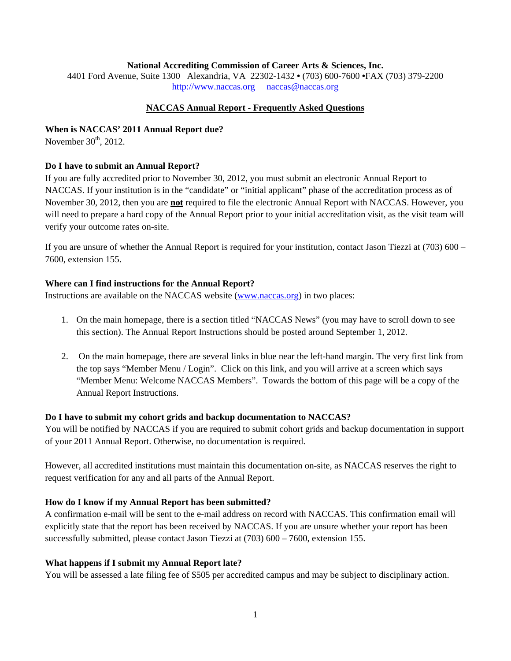### **National Accrediting Commission of Career Arts & Sciences, Inc.**

4401 Ford Avenue, Suite 1300 Alexandria, VA 22302-1432 **•** (703) 600-7600 **•**FAX (703) 379-2200 http://www.naccas.org naccas@naccas.org

## **NACCAS Annual Report - Frequently Asked Questions**

### **When is NACCAS' 2011 Annual Report due?**

November  $30<sup>th</sup>$ , 2012.

### **Do I have to submit an Annual Report?**

If you are fully accredited prior to November 30, 2012, you must submit an electronic Annual Report to NACCAS. If your institution is in the "candidate" or "initial applicant" phase of the accreditation process as of November 30, 2012, then you are **not** required to file the electronic Annual Report with NACCAS. However, you will need to prepare a hard copy of the Annual Report prior to your initial accreditation visit, as the visit team will verify your outcome rates on-site.

If you are unsure of whether the Annual Report is required for your institution, contact Jason Tiezzi at (703) 600 – 7600, extension 155.

### **Where can I find instructions for the Annual Report?**

Instructions are available on the NACCAS website (www.naccas.org) in two places:

- 1. On the main homepage, there is a section titled "NACCAS News" (you may have to scroll down to see this section). The Annual Report Instructions should be posted around September 1, 2012.
- 2. On the main homepage, there are several links in blue near the left-hand margin. The very first link from the top says "Member Menu / Login". Click on this link, and you will arrive at a screen which says "Member Menu: Welcome NACCAS Members". Towards the bottom of this page will be a copy of the Annual Report Instructions.

### **Do I have to submit my cohort grids and backup documentation to NACCAS?**

You will be notified by NACCAS if you are required to submit cohort grids and backup documentation in support of your 2011 Annual Report. Otherwise, no documentation is required.

However, all accredited institutions must maintain this documentation on-site, as NACCAS reserves the right to request verification for any and all parts of the Annual Report.

### **How do I know if my Annual Report has been submitted?**

A confirmation e-mail will be sent to the e-mail address on record with NACCAS. This confirmation email will explicitly state that the report has been received by NACCAS. If you are unsure whether your report has been successfully submitted, please contact Jason Tiezzi at (703) 600 – 7600, extension 155.

### **What happens if I submit my Annual Report late?**

You will be assessed a late filing fee of \$505 per accredited campus and may be subject to disciplinary action.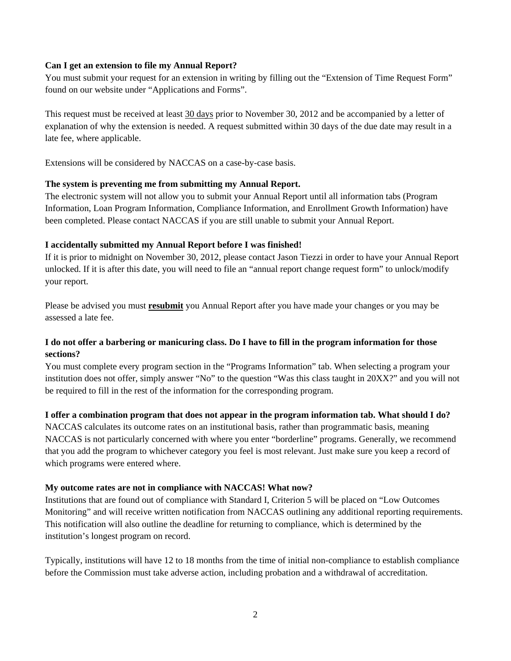## **Can I get an extension to file my Annual Report?**

You must submit your request for an extension in writing by filling out the "Extension of Time Request Form" found on our website under "Applications and Forms".

This request must be received at least 30 days prior to November 30, 2012 and be accompanied by a letter of explanation of why the extension is needed. A request submitted within 30 days of the due date may result in a late fee, where applicable.

Extensions will be considered by NACCAS on a case-by-case basis.

## **The system is preventing me from submitting my Annual Report.**

The electronic system will not allow you to submit your Annual Report until all information tabs (Program Information, Loan Program Information, Compliance Information, and Enrollment Growth Information) have been completed. Please contact NACCAS if you are still unable to submit your Annual Report.

## **I accidentally submitted my Annual Report before I was finished!**

If it is prior to midnight on November 30, 2012, please contact Jason Tiezzi in order to have your Annual Report unlocked. If it is after this date, you will need to file an "annual report change request form" to unlock/modify your report.

Please be advised you must **resubmit** you Annual Report after you have made your changes or you may be assessed a late fee.

# **I do not offer a barbering or manicuring class. Do I have to fill in the program information for those sections?**

You must complete every program section in the "Programs Information" tab. When selecting a program your institution does not offer, simply answer "No" to the question "Was this class taught in 20XX?" and you will not be required to fill in the rest of the information for the corresponding program.

## **I offer a combination program that does not appear in the program information tab. What should I do?**

NACCAS calculates its outcome rates on an institutional basis, rather than programmatic basis, meaning NACCAS is not particularly concerned with where you enter "borderline" programs. Generally, we recommend that you add the program to whichever category you feel is most relevant. Just make sure you keep a record of which programs were entered where.

## **My outcome rates are not in compliance with NACCAS! What now?**

Institutions that are found out of compliance with Standard I, Criterion 5 will be placed on "Low Outcomes Monitoring" and will receive written notification from NACCAS outlining any additional reporting requirements. This notification will also outline the deadline for returning to compliance, which is determined by the institution's longest program on record.

Typically, institutions will have 12 to 18 months from the time of initial non-compliance to establish compliance before the Commission must take adverse action, including probation and a withdrawal of accreditation.